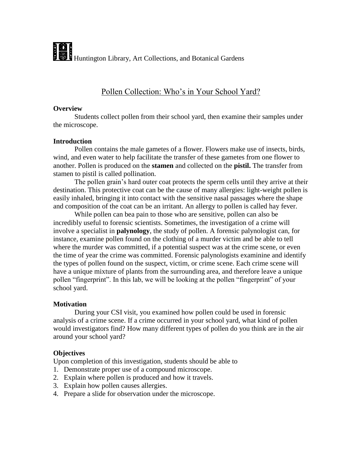# Pollen Collection: Who's in Your School Yard?

#### **Overview**

Students collect pollen from their school yard, then examine their samples under the microscope.

#### **Introduction**

Pollen contains the male gametes of a flower. Flowers make use of insects, birds, wind, and even water to help facilitate the transfer of these gametes from one flower to another. Pollen is produced on the **stamen** and collected on the **pistil.** The transfer from stamen to pistil is called pollination.

The pollen grain's hard outer coat protects the sperm cells until they arrive at their destination. This protective coat can be the cause of many allergies: light-weight pollen is easily inhaled, bringing it into contact with the sensitive nasal passages where the shape and composition of the coat can be an irritant. An allergy to pollen is called hay fever.

While pollen can bea pain to those who are sensitive, pollen can also be incredibly useful to forensic scientists. Sometimes, the investigation of a crime will involve a specialist in **palynology**, the study of pollen. A forensic palynologist can, for instance, examine pollen found on the clothing of a murder victim and be able to tell where the murder was committed, if a potential suspect was at the crime scene, or even the time of year the crime was committed. Forensic palynologists examinine and identify the types of pollen found on the suspect, victim, or crime scene. Each crime scene will have a unique mixture of plants from the surrounding area, and therefore leave a unique pollen "fingerprint". In this lab, we will be looking at the pollen "fingerprint" of your school yard.

# **Motivation**

During your CSI visit, you examined how pollen could be used in forensic analysis of a crime scene. If a crime occurred in your school yard, what kind of pollen would investigators find? How many different types of pollen do you think are in the air around your school yard?

# **Objectives**

Upon completion of this investigation, students should be able to

- 1. Demonstrate proper use of a compound microscope.
- 2. Explain where pollen is produced and how it travels.
- 3. Explain how pollen causes allergies.
- 4. Prepare a slide for observation under the microscope.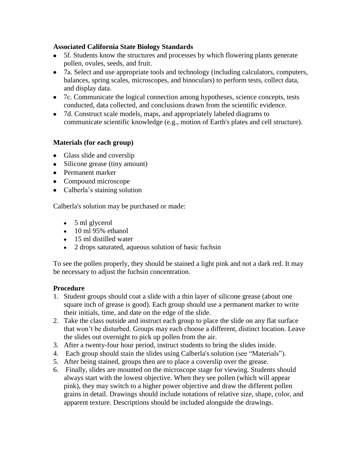## **Associated California State Biology Standards**

- 5f. Students know the structures and processes by which flowering plants generate pollen, ovules, seeds, and fruit.
- 7a. Select and use appropriate tools and technology (including calculators, computers, balances, spring scales, microscopes, and binoculars) to perform tests, collect data, and display data.
- 7c. Communicate the logical connection among hypotheses, science concepts, tests conducted, data collected, and conclusions drawn from the scientific evidence.
- 7d. Construct scale models, maps, and appropriately labeled diagrams to communicate scientific knowledge (e.g., motion of Earth's plates and cell structure).

# **Materials (for each group)**

- Glass slide and coverslip
- Silicone grease (tiny amount)
- Permanent marker
- Compound microscope
- Calberla's staining solution

Calberla's solution may be purchased or made:

- $\bullet$  5 ml glycerol
- $\bullet$  10 ml 95% ethanol
- 15 ml distilled water
- 2 drops saturated, aqueous solution of basic fuchsin

To see the pollen properly, they should be stained a light pink and not a dark red. It may be necessary to adjust the fuchsin concentration.

#### **Procedure**

- 1. Student groups should coat a slide with a thin layer of silicone grease (about one square inch of grease is good). Each group should use a permanent marker to write their initials, time, and date on the edge of the slide.
- 2. Take the class outside and instruct each group to place the slide on any flat surface that won't be disturbed. Groups may each choose a different, distinct location. Leave the slides out overnight to pick up pollen from the air.
- 3. After a twenty-four hour period, instruct students to bring the slides inside.
- 4. Each group should stain the slides using Calberla's solution (see "Materials").
- 5. After being stained, groups then are to place a coverslip over the grease.
- 6. Finally, slides are mounted on the microscope stage for viewing. Students should always start with the lowest objective. When they see pollen (which will appear pink), they may switch to a higher power objective and draw the different pollen grains in detail. Drawings should include notations of relative size, shape, color, and apparent texture. Descriptions should be included alongside the drawings.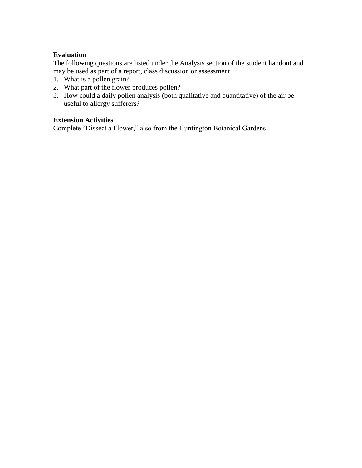# **Evaluation**

The following questions are listed under the Analysis section of the student handout and may be used as part of a report, class discussion or assessment.

- 1. What is a pollen grain?
- 2. What part of the flower produces pollen?
- 3. How could a daily pollen analysis (both qualitative and quantitative) of the air be useful to allergy sufferers?

#### **Extension Activities**

Complete "Dissect a Flower," also from the Huntington Botanical Gardens.